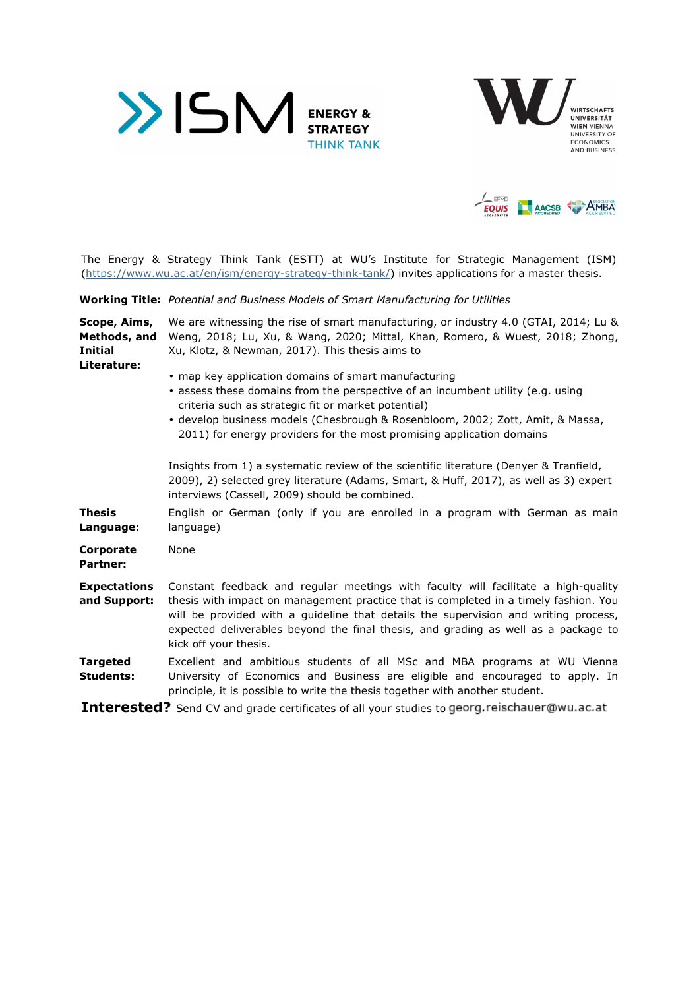





The Energy & Strategy Think Tank (ESTT) at WU's Institute for Strategic Management (ISM) (https://www.wu.ac.at/en/ism/energy-strategy-think-tank/) invites applications for a master thesis.

**Working Title:** *Potential and Business Models of Smart Manufacturing for Utilities* 

| Scope, Aims,<br>Methods, and<br><b>Initial</b><br>Literature: | We are witnessing the rise of smart manufacturing, or industry 4.0 (GTAI, 2014; Lu &<br>Weng, 2018; Lu, Xu, & Wang, 2020; Mittal, Khan, Romero, & Wuest, 2018; Zhong,<br>Xu, Klotz, & Newman, 2017). This thesis aims to<br>• map key application domains of smart manufacturing                                                                                                 |
|---------------------------------------------------------------|----------------------------------------------------------------------------------------------------------------------------------------------------------------------------------------------------------------------------------------------------------------------------------------------------------------------------------------------------------------------------------|
|                                                               | • assess these domains from the perspective of an incumbent utility (e.g. using<br>criteria such as strategic fit or market potential)<br>· develop business models (Chesbrough & Rosenbloom, 2002; Zott, Amit, & Massa,<br>2011) for energy providers for the most promising application domains                                                                                |
|                                                               | Insights from 1) a systematic review of the scientific literature (Denyer & Tranfield,<br>2009), 2) selected grey literature (Adams, Smart, & Huff, 2017), as well as 3) expert<br>interviews (Cassell, 2009) should be combined.                                                                                                                                                |
| <b>Thesis</b><br>Language:                                    | English or German (only if you are enrolled in a program with German as main<br>language)                                                                                                                                                                                                                                                                                        |
| Corporate<br><b>Partner:</b>                                  | None                                                                                                                                                                                                                                                                                                                                                                             |
| <b>Expectations</b><br>and Support:                           | Constant feedback and regular meetings with faculty will facilitate a high-quality<br>thesis with impact on management practice that is completed in a timely fashion. You<br>will be provided with a guideline that details the supervision and writing process,<br>expected deliverables beyond the final thesis, and grading as well as a package to<br>kick off your thesis. |
| <b>Targeted</b><br><b>Students:</b>                           | Excellent and ambitious students of all MSc and MBA programs at WU Vienna<br>University of Economics and Business are eligible and encouraged to apply. In<br>principle, it is possible to write the thesis together with another student.                                                                                                                                       |
|                                                               | <b>Interested?</b> Send CV and grade certificates of all your studies to georg.reischauer@wu.ac.at                                                                                                                                                                                                                                                                               |